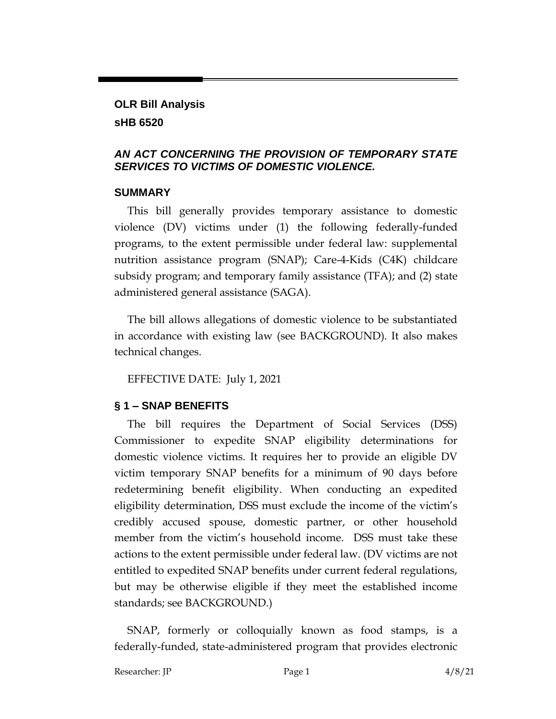### **OLR Bill Analysis sHB 6520**

#### *AN ACT CONCERNING THE PROVISION OF TEMPORARY STATE SERVICES TO VICTIMS OF DOMESTIC VIOLENCE.*

#### **SUMMARY**

This bill generally provides temporary assistance to domestic violence (DV) victims under (1) the following federally-funded programs, to the extent permissible under federal law: supplemental nutrition assistance program (SNAP); Care-4-Kids (C4K) childcare subsidy program; and temporary family assistance (TFA); and (2) state administered general assistance (SAGA).

The bill allows allegations of domestic violence to be substantiated in accordance with existing law (see BACKGROUND). It also makes technical changes.

EFFECTIVE DATE: July 1, 2021

### **§ 1 – SNAP BENEFITS**

The bill requires the Department of Social Services (DSS) Commissioner to expedite SNAP eligibility determinations for domestic violence victims. It requires her to provide an eligible DV victim temporary SNAP benefits for a minimum of 90 days before redetermining benefit eligibility. When conducting an expedited eligibility determination, DSS must exclude the income of the victim's credibly accused spouse, domestic partner, or other household member from the victim's household income. DSS must take these actions to the extent permissible under federal law. (DV victims are not entitled to expedited SNAP benefits under current federal regulations, but may be otherwise eligible if they meet the established income standards; see BACKGROUND.)

SNAP, formerly or colloquially known as food stamps, is a federally-funded, state-administered program that provides electronic

Researcher: JP Page 1 4/8/21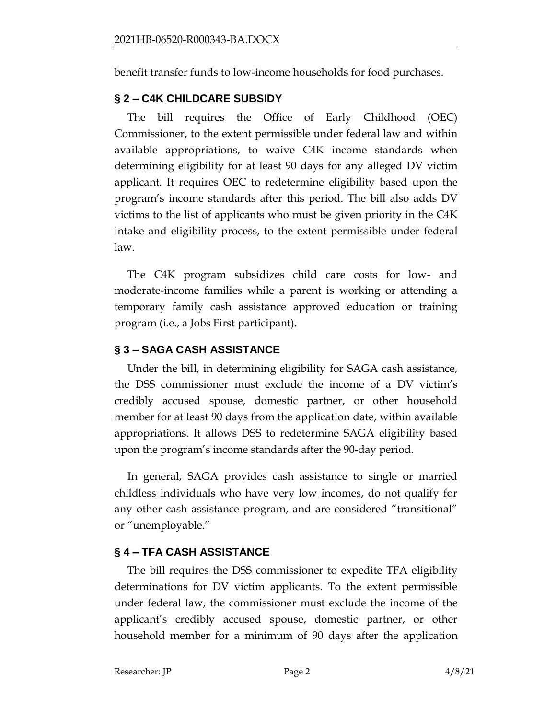benefit transfer funds to low-income households for food purchases.

#### **§ 2 – C4K CHILDCARE SUBSIDY**

The bill requires the Office of Early Childhood (OEC) Commissioner, to the extent permissible under federal law and within available appropriations, to waive C4K income standards when determining eligibility for at least 90 days for any alleged DV victim applicant. It requires OEC to redetermine eligibility based upon the program's income standards after this period. The bill also adds DV victims to the list of applicants who must be given priority in the C4K intake and eligibility process, to the extent permissible under federal law.

The C4K program subsidizes child care costs for low- and moderate-income families while a parent is working or attending a temporary family cash assistance approved education or training program (i.e., a Jobs First participant).

## **§ 3 – SAGA CASH ASSISTANCE**

Under the bill, in determining eligibility for SAGA cash assistance, the DSS commissioner must exclude the income of a DV victim's credibly accused spouse, domestic partner, or other household member for at least 90 days from the application date, within available appropriations. It allows DSS to redetermine SAGA eligibility based upon the program's income standards after the 90-day period.

In general, SAGA provides cash assistance to single or married childless individuals who have very low incomes, do not qualify for any other cash assistance program, and are considered "transitional" or "unemployable."

### **§ 4 – TFA CASH ASSISTANCE**

The bill requires the DSS commissioner to expedite TFA eligibility determinations for DV victim applicants. To the extent permissible under federal law, the commissioner must exclude the income of the applicant's credibly accused spouse, domestic partner, or other household member for a minimum of 90 days after the application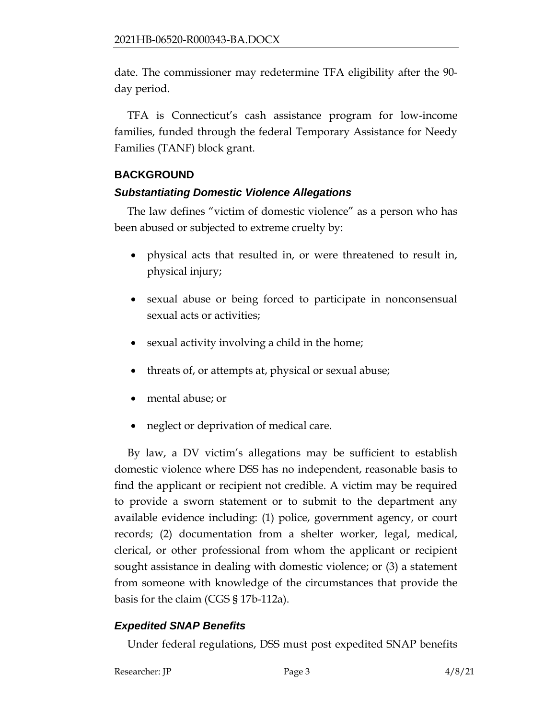date. The commissioner may redetermine TFA eligibility after the 90 day period.

TFA is Connecticut's cash assistance program for low-income families, funded through the federal Temporary Assistance for Needy Families (TANF) block grant.

## **BACKGROUND**

### *Substantiating Domestic Violence Allegations*

The law defines "victim of domestic violence" as a person who has been abused or subjected to extreme cruelty by:

- physical acts that resulted in, or were threatened to result in, physical injury;
- sexual abuse or being forced to participate in nonconsensual sexual acts or activities;
- sexual activity involving a child in the home;
- threats of, or attempts at, physical or sexual abuse;
- mental abuse; or
- neglect or deprivation of medical care.

By law, a DV victim's allegations may be sufficient to establish domestic violence where DSS has no independent, reasonable basis to find the applicant or recipient not credible. A victim may be required to provide a sworn statement or to submit to the department any available evidence including: (1) police, government agency, or court records; (2) documentation from a shelter worker, legal, medical, clerical, or other professional from whom the applicant or recipient sought assistance in dealing with domestic violence; or (3) a statement from someone with knowledge of the circumstances that provide the basis for the claim (CGS § 17b-112a).

# *Expedited SNAP Benefits*

Under federal regulations, DSS must post expedited SNAP benefits

Researcher: JP Page 3 4/8/21